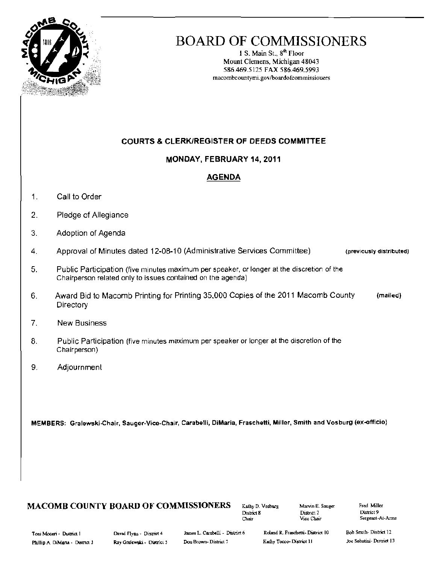

# **BOARD OF COMMISSIONERS**

1 S. Main St., 8<sup>th</sup> Floor Mount Clemens, Michigan 48043 586.469.5125 FAX 586.469.5993 macombcountymi.gov/boardofcommissiouers

# **COURTS & CLERK/REGISTER OF DEEDS COMMITTEE**

## MONDAY, FEBRUARY 14, 2011

## **AGENDA**

- $\mathbf{1}$ . Call to Order
- $\overline{2}$ . Pledge of Allegiance
- $3.$ Adoption of Agenda
- Approval of Minutes dated 12-08-10 (Administrative Services Committee)  $\overline{4}$ (previously distributed)
- 5. Public Participation (five minutes maximum per speaker, or longer at the discretion of the Chairperson related only to issues contained on the agenda)
- Award Bid to Macomb Printing for Printing 35,000 Copies of the 2011 Macomb County 6. (mailed) Directory
- $7.$ **New Business**
- 8. Public Participation (five minutes maximum per speaker or longer at the discretion of the Chairperson)
- 9. Adjournment

MEMBERS: Gralewski-Chair, Sauger-Vice-Chair, Carabelli, DiMaria, Fraschetti, Miller, Smith and Vosburg (ex-officio)

# **MACOMB COUNTY BOARD OF COMMISSIONERS**

Kathy D. Vosburg District 8 Chair

Marvin E. Sauger District 2 Vice Chair

Fred Miller District 9 Sergeant-At-Arms

Toui Moceri - District 1 Phillip A. DiMana - District 3 David Flynn - District 4 Ray Gralewski - District 5

James L. Carabelli - District 6 Don Brown-District 7

Roland R. Fraschetti- District 10 Kathy Tocco-District 11

Bob Smith-District 12 Joe Sabatini-District 13